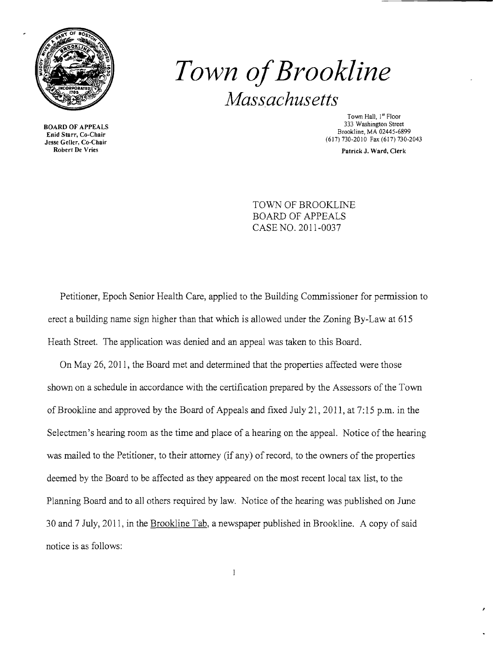

BOARD OF APPEALS Enid Starr, Co-Chair Jesse Geller, Co-Chair Robert De Vries

# *Town ofBrookline Massachusetts*

Town Hall, 1st Floor 333 Washington Street Brookline, MA 02445-6899 (617)730-2010 Fax (617) 730-2043

Patrick J. Ward, Clerk

TOWN OF BROOKLINE BOARD OF APPEALS CASE NO. 2011-0037

Petitioner, Epoch Senior Health Care, applied to the Building Commissioner for permission to erect a building name sign higher than that which is allowed under the Zoning By-Law at 615 Heath Street. The application was denied and an appeal was taken to this Board.

On May 26, 2011, the Board met and determined that the properties affected were those shown on a schedule in accordance with the certification prepared by the Assessors of the Town of Brookline and approved by the Board of Appeals and fixed July 21, 2011, at 7: 15 p.m. in the Selectmen's hearing room as the time and place of a hearing on the appeal. Notice of the hearing was mailed to the Petitioner, to their attorney (if any) of record, to the owners of the properties deemed by the Board to be affected as they appeared on the most recent local tax list, to the Planning Board and to all others required by law. Notice of the hearing was published on June 30 and 7 July, 2011, in the Brookline Tab, a newspaper published in Brookline. A copy of said notice is as follows:

 $\mathbf{1}$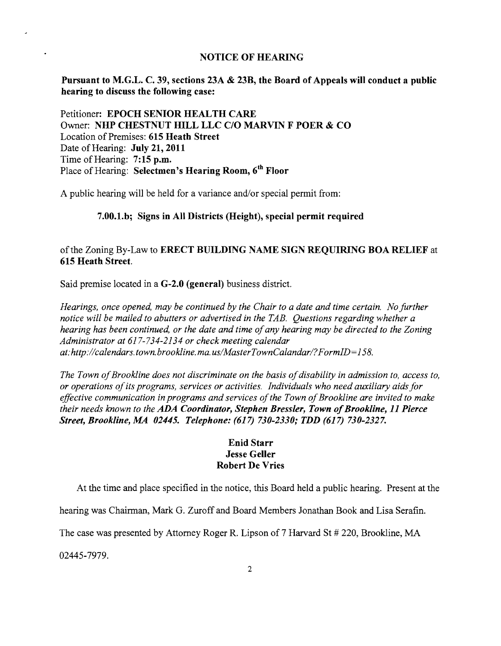#### NOTICE OF HEARING

Pursuant to M.G.L. C. 39, sections 23A & 23B, the Board of Appeals will conduct a public hearing to discuss the following case:

Petitioner: EPOCH SENIOR HEALTH CARE Owner: NHP CHESTNUT HILL LLC C/O MARVIN F POER & CO Location of Premises: 615 Heath Street Date of Hearing: July 21, 2011 Time of Hearing: 7:15 p.m. Place of Hearing: Selectmen's Hearing Room, 6<sup>th</sup> Floor

A public hearing will be held for a variance and/or special permit from:

#### 7.00.l.b; Signs in All Districts (Height), special permit required

## ofthe Zoning By-Law to ERECT BUILDING NAME SIGN REQUIRING BOA RELIEF at 615 Heath Street.

Said premise located in a G-2.0 (general) business district.

*Hearings, once opened, may be continued by the Chair to a date and time certain. No further notice will be mailed to abutters or advertised in the TAB. Questions regarding whether a hearing has been continued, or the date and time of any hearing may be directed to the Zoning Administrator at* 617-734-2134 *or check meeting calendar at:http://calendars.town.brookline.ma.usIMasterTownCalandarl?FormID=158.* 

The Town of Brookline does not discriminate on the basis of disability in admission to, access to, *or operations ofits programs, services or activities. Individuals who need auxiliary aids for effective communication in programs and services of the Town of Brookline are invited to make their needs known to the ADA Coordinator, Stephen Bressler, Town of Brookline, 11 Pierce Street, Brookline, MA 02445. Telephone:* (617) *730-2330; TDD* (617) *730-2327.* 

### Enid Starr Jesse Geller Robert De Vries

At the time and place specified in the notice, this Board held a public hearing. Present at the

hearing was Chairman, Mark G. Zuroff and Board Members Jonathan Book and Lisa Serafin.

The case was presented by Attorney Roger R. Lipson of 7 Harvard St # 220, Brookline, MA

02445-7979.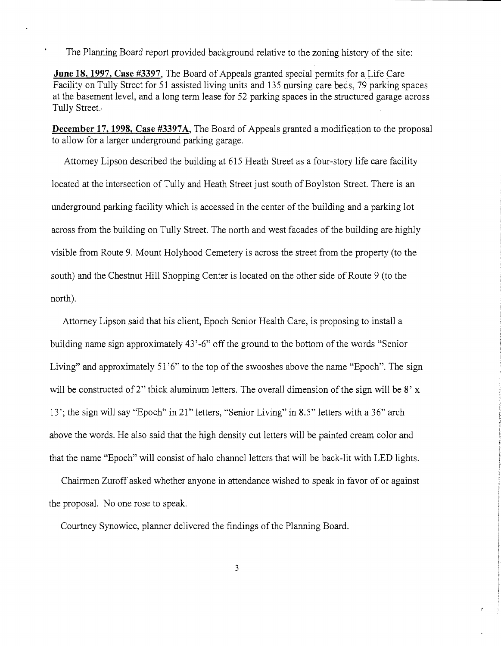The Planning Board report provided background relative to the zoning history of the site:

**June 18, 1997, Case #3397, The Board of Appeals granted special permits for a Life Care** Facility on Tully Street for 51 assisted living units and 135 nursing care beds, 79 parking spaces at the basement level, and a long term lease for 52 parking spaces in the structured garage across Tully Street..

**December 17, 1998, Case #3397A.** The Board of Appeals granted a modification to the proposal to allow for a larger underground parking garage.

Attorney Lipson described the building at 615 Heath Street as a four-story life care facility located at the intersection of Tully and Heath Street just south of Boylston Street. There is an underground parking facility which is accessed in the center of the building and a parking lot across from the building on Tully Street. The north and west facades of the building are highly visible from Route 9. Mount Holyhood Cemetery is across the street from the property (to the south) and the Chestnut Hill Shopping Center is located on the other side of Route 9 (to the north).

Attorney Lipson said that his client, Epoch Senior Health Care, is proposing to install a building name sign approximately 43'-6" off the ground to the bottom of the words "Senior Living" and approximately 51'6" to the top of the swooshes above the name "Epoch". The sign will be constructed of 2" thick aluminum letters. The overall dimension of the sign will be  $8'$  x 13'; the sign will say "Epoch" in 21" letters, "Senior Living" in 8.5" letters with a 36" arch above the words. He also said that the high density cut letters will be painted cream color and that the name "Epoch" will consist of halo channel letters that will be back-lit with LED lights.

Chairmen Zuroff asked whether anyone in attendance wished to speak in favor of or against the proposal. No one rose to speak.

Courtney Synowiec, planner delivered the findings of the Planning Board.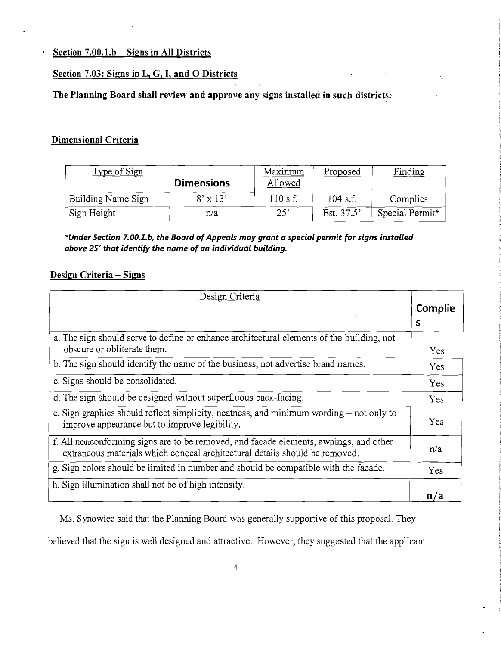**. Section 7.00.l.b - Signs in All Districts** 

#### **Section 7.03: Signs in L, G, I, and 0 Districts**

The Planning Board shall review and approve any signs installed in such districts.

## **Dimensional Criteria**

| Type of Sign       | <b>Dimensions</b> | Maximum<br>Allowed | Proposed   | Finding         |
|--------------------|-------------------|--------------------|------------|-----------------|
| Building Name Sign | $8' \times 13'$   | 110 s.f.           | $104$ s.f. | Complies        |
| Sign Height        | n/a               | 25'                | Est. 37.5' | Special Permit* |

 $\overline{\mathcal{L}}$ 

 $\frac{1}{2}$ 

*\*Under Section 7.00.l.b, the Board of Appeals may grant* **a** *special permit for signs installed above* **25'** *that identify the name of* **an** *individual building.* 

#### **Design Criteria - Signs**

| Design Criteria                                                                                                                                                      |         |
|----------------------------------------------------------------------------------------------------------------------------------------------------------------------|---------|
|                                                                                                                                                                      | Complie |
|                                                                                                                                                                      | s       |
| a. The sign should serve to define or enhance architectural elements of the building, not<br>obscure or obliterate them.                                             | Yes     |
| b. The sign should identify the name of the business, not advertise brand names.                                                                                     |         |
| c. Signs should be consolidated.                                                                                                                                     |         |
| d. The sign should be designed without superfluous back-facing.                                                                                                      |         |
| e. Sign graphics should reflect simplicity, neatness, and minimum wording $-$ not only to<br>improve appearance but to improve legibility.                           |         |
| f. All nonconforming signs are to be removed, and facade elements, awnings, and other<br>extraneous materials which conceal architectural details should be removed. |         |
| g. Sign colors should be limited in number and should be compatible with the facade.                                                                                 |         |
| h. Sign illumination shall not be of high intensity.                                                                                                                 | n/a     |

Ms. Synowiec said that the Planning Board was generally supportive of this proposal. They

believed that the sign is well designed and attractive. However, they suggested that the applicant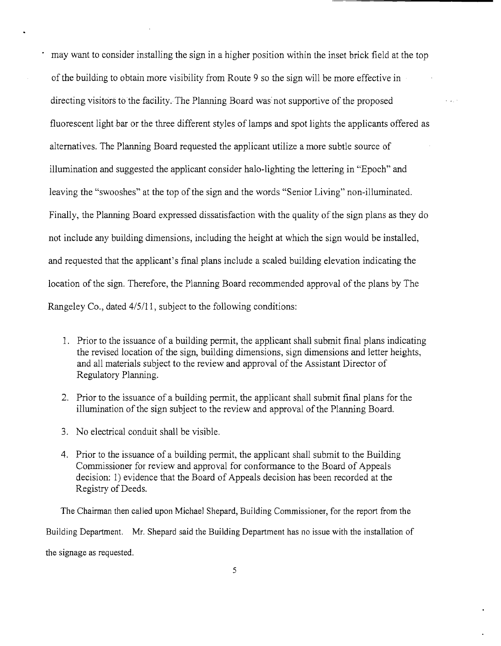may want to consider installing the sign in a higher position within the inset brick field at the top of the building to obtain more visibility from Route 9 so the sign will be more effective in directing visitors to the facility. The Planning Board was: not supportive of the proposed fluorescent light bar or the three different styles of lamps and spot lights the applicants offered as alternatives. The Planning Board requested the applicant utilize a more subtle source of illumination and suggested the applicant consider halo-lighting the lettering in "Epoch" and leaving the "swooshes" at the top of the sign and the words "Senior Living" non-illuminated. Finally, the Planning Board expressed dissatisfaction with the quality of the sign plans as they do not include any building dimensions, including the height at which the sign would be installed, and requested that the applicant's final plans include a scaled building elevation indicating the location of the sign. Therefore, the Planning Board recommended approval of the plans by The Rangeley Co., dated 4/5/11, subject to the following conditions:

- 1. Prior to the issuance of a building permit, the applicant shall submit final plans indicating the revised location of the sign, building dimensions, sign dimensions and letter heights, and all materials subject to the review and approval of the Assistant Director of Regulatory Planning.
- 2. Prior to the issuance of a building permit, the applicant shall submit final plans for the illumination of the sign subject to the review and approval of the Planning Board.
- 3. No electrical conduit shall be visible.
- 4. Prior to the issuance of a building permit, the applicant shall submit to the Building Commissioner for review and approval for conformance to the Board of Appeals decision: 1) evidence that the Board of Appeals decision has been recorded at the Registry of Deeds.

The Chairman then called upon Michael Shepard, Building Commissioner, for the report from the Building Department. Mr. Shepard said the Building Department has no issue with the installation of the signage as requested.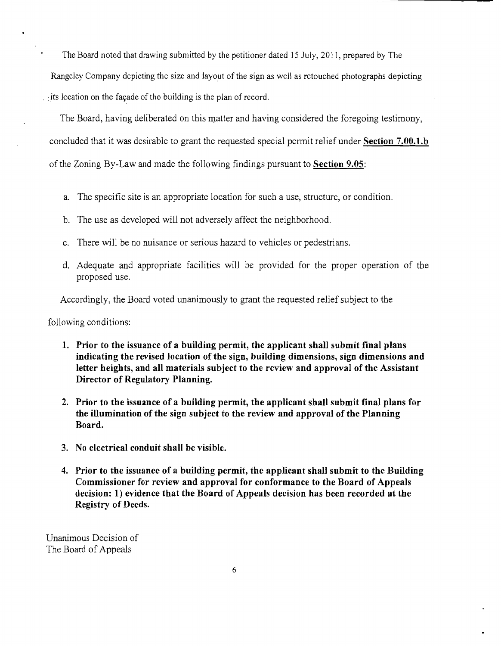The Board noted that drawing submitted by the petitioner dated 15 July, 2011, prepared by The

Rangeley Company depicting the size and layout of the sign as well as retouched photographs depicting its location on the facade of the building is the plan of record.

The Board, having deliberated on this matter and having considered the foregoing testimony, concluded that it was desirable to grant the requested special permit relief under **Section 7.00.1.b**  of the Zoning By-Law and made the following findings pursuant to **Section 9.05:** 

- a. The specific site is an appropriate location for such a use, structure, or condition.
- b. The use as developed will not adversely affect the neighborhood.
- c. There will be no nuisance or serious hazard to vehicles or pedestrians.
- d. Adequate and appropriate facilities will be provided for the proper operation of the proposed use.

Accordingly, the Board voted unanimously to grant the requested relief subject to the

following conditions:

- **1. Prior to the issuance of a building permit, the applicant shall submit final plans indicating the revised location of the sign, building dimensions, sign dimensions and letter heights, and all materials subject to the review and approval of the Assistant Director of Regulatory Planning.**
- **2. Prior to the issuance of a building permit, the applicant shall submit final plans for the illumination of the sign subject to the review and approval of the Planning Board.**
- **3. No electrical conduit shall be visible.**
- **4. Prior to the issuance of a building permit, the applicant shall submit to the Building Commissioner for review and approYal for conformance to the Board of Appeals decision: 1) evidence that the Board of Appeals decision has been recorded at the Registry of Deeds.**

Unanimous Decision of The Board of Appeals